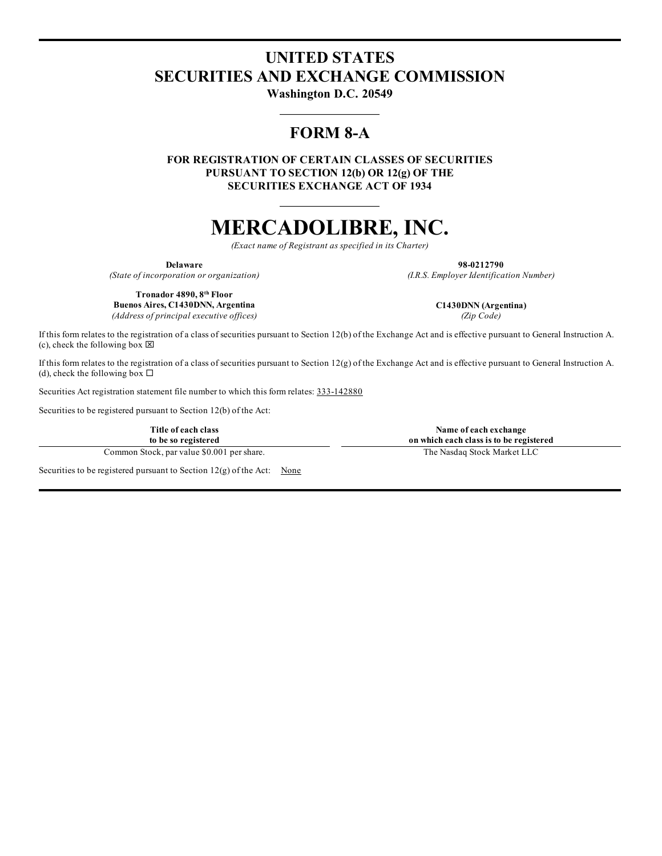## **UNITED STATES SECURITIES AND EXCHANGE COMMISSION**

**Washington D.C. 20549**

### **FORM 8-A**

**FOR REGISTRATION OF CERTAIN CLASSES OF SECURITIES PURSUANT TO SECTION 12(b) OR 12(g) OF THE SECURITIES EXCHANGE ACT OF 1934**

# **MERCADOLIBRE, INC.**

*(Exact name of Registrant as specified in its Charter)*

**Delaware 98-0212790**

*(State of incorporation or organization) (I.R.S. Employer Identification Number)*

**Tronador 4890, 8 th Floor Buenos Aires, C1430DNN, Argentina C1430DNN (Argentina)**

*(Address of principal executive of ices) (Zip Code)*

If this form relates to the registration of a class of securities pursuant to Section 12(b) of the Exchange Act and is effective pursuant to General Instruction A. (c), check the following box  $\boxtimes$ 

If this form relates to the registration of a class of securities pursuant to Section 12(g) of the Exchange Act and is effective pursuant to General Instruction A. (d), check the following box  $\Box$ 

Securities Act registration statement file number to which this form relates: 333-142880

Securities to be registered pursuant to Section 12(b) of the Act:

**Title of each class to be so registered**

Common Stock, par value \$0.001 per share. The Nasdaq Stock Market LLC

**on which each class is to be registered**

Securities to be registered pursuant to Section  $12(g)$  of the Act: None

**Name of each exchange**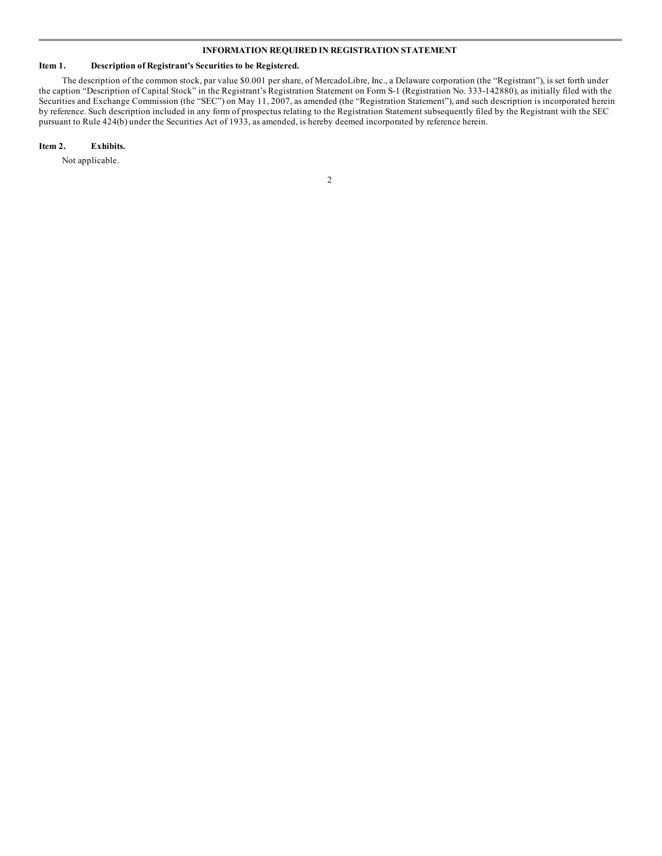#### **INFORMATION REQUIRED IN REGISTRATION STATEMENT**

#### **Item 1. Description of Registrant's Securities to be Registered.**

The description of the common stock, par value \$0.001 per share, of MercadoLibre, Inc., a Delaware corporation (the "Registrant"), is set forth under the caption "Description of Capital Stock" in the Registrant's Registration Statement on Form S-1 (Registration No. 333-142880), as initially filed with the Securities and Exchange Commission (the "SEC") on May 11, 2007, as amended (the "Registration Statement"), and such description is incorporated herein by reference. Such description included in any form of prospectus relating to the Registration Statement subsequently filed by the Registrant with the SEC pursuant to Rule 424(b) under the Securities Act of 1933, as amended, is hereby deemed incorporated by reference herein.

#### **Item 2. Exhibits.**

Not applicable.

2